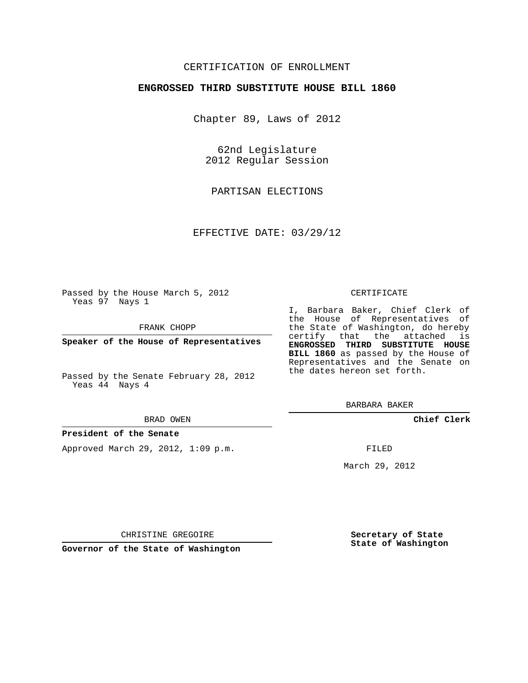## CERTIFICATION OF ENROLLMENT

## **ENGROSSED THIRD SUBSTITUTE HOUSE BILL 1860**

Chapter 89, Laws of 2012

62nd Legislature 2012 Regular Session

PARTISAN ELECTIONS

EFFECTIVE DATE: 03/29/12

Passed by the House March 5, 2012 Yeas 97 Nays 1

FRANK CHOPP

**Speaker of the House of Representatives**

Passed by the Senate February 28, 2012 Yeas 44 Nays 4

### **President of the Senate**

Approved March 29, 2012, 1:09 p.m.

#### CERTIFICATE

I, Barbara Baker, Chief Clerk of the House of Representatives of the State of Washington, do hereby certify that the attached is **ENGROSSED THIRD SUBSTITUTE HOUSE BILL 1860** as passed by the House of Representatives and the Senate on the dates hereon set forth.

BARBARA BAKER

**Chief Clerk**

FILED

March 29, 2012

**Secretary of State State of Washington**

CHRISTINE GREGOIRE

**Governor of the State of Washington**

BRAD OWEN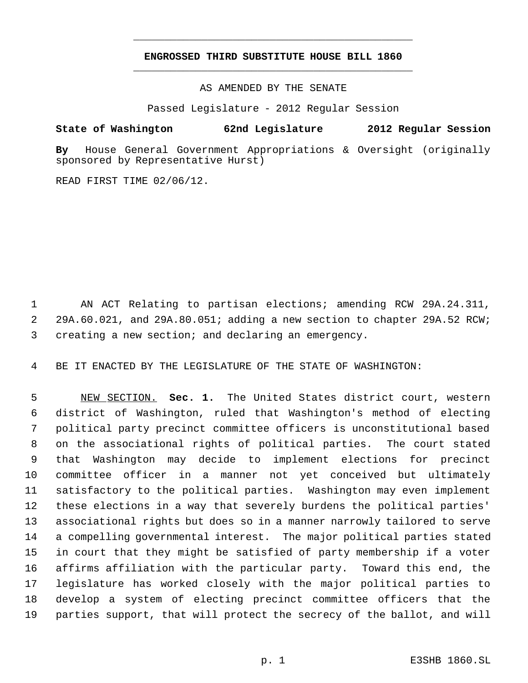# **ENGROSSED THIRD SUBSTITUTE HOUSE BILL 1860** \_\_\_\_\_\_\_\_\_\_\_\_\_\_\_\_\_\_\_\_\_\_\_\_\_\_\_\_\_\_\_\_\_\_\_\_\_\_\_\_\_\_\_\_\_

\_\_\_\_\_\_\_\_\_\_\_\_\_\_\_\_\_\_\_\_\_\_\_\_\_\_\_\_\_\_\_\_\_\_\_\_\_\_\_\_\_\_\_\_\_

AS AMENDED BY THE SENATE

Passed Legislature - 2012 Regular Session

# **State of Washington 62nd Legislature 2012 Regular Session**

**By** House General Government Appropriations & Oversight (originally sponsored by Representative Hurst)

READ FIRST TIME 02/06/12.

 AN ACT Relating to partisan elections; amending RCW 29A.24.311, 29A.60.021, and 29A.80.051; adding a new section to chapter 29A.52 RCW; creating a new section; and declaring an emergency.

BE IT ENACTED BY THE LEGISLATURE OF THE STATE OF WASHINGTON:

 NEW SECTION. **Sec. 1.** The United States district court, western district of Washington, ruled that Washington's method of electing political party precinct committee officers is unconstitutional based on the associational rights of political parties. The court stated that Washington may decide to implement elections for precinct committee officer in a manner not yet conceived but ultimately satisfactory to the political parties. Washington may even implement these elections in a way that severely burdens the political parties' associational rights but does so in a manner narrowly tailored to serve a compelling governmental interest. The major political parties stated in court that they might be satisfied of party membership if a voter affirms affiliation with the particular party. Toward this end, the legislature has worked closely with the major political parties to develop a system of electing precinct committee officers that the parties support, that will protect the secrecy of the ballot, and will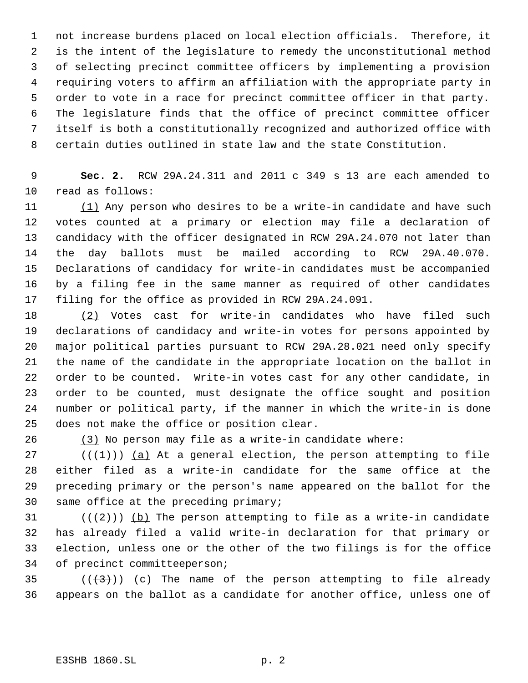not increase burdens placed on local election officials. Therefore, it is the intent of the legislature to remedy the unconstitutional method of selecting precinct committee officers by implementing a provision requiring voters to affirm an affiliation with the appropriate party in order to vote in a race for precinct committee officer in that party. The legislature finds that the office of precinct committee officer itself is both a constitutionally recognized and authorized office with certain duties outlined in state law and the state Constitution.

 **Sec. 2.** RCW 29A.24.311 and 2011 c 349 s 13 are each amended to read as follows:

11 (1) Any person who desires to be a write-in candidate and have such votes counted at a primary or election may file a declaration of candidacy with the officer designated in RCW 29A.24.070 not later than the day ballots must be mailed according to RCW 29A.40.070. Declarations of candidacy for write-in candidates must be accompanied by a filing fee in the same manner as required of other candidates filing for the office as provided in RCW 29A.24.091.

18 (2) Votes cast for write-in candidates who have filed such declarations of candidacy and write-in votes for persons appointed by major political parties pursuant to RCW 29A.28.021 need only specify the name of the candidate in the appropriate location on the ballot in order to be counted. Write-in votes cast for any other candidate, in order to be counted, must designate the office sought and position number or political party, if the manner in which the write-in is done does not make the office or position clear.

(3) No person may file as a write-in candidate where:

27 ( $(\overline{+1})$ ) (a) At a general election, the person attempting to file either filed as a write-in candidate for the same office at the preceding primary or the person's name appeared on the ballot for the same office at the preceding primary;

31 ( $(\frac{2}{2})$ ) (b) The person attempting to file as a write-in candidate has already filed a valid write-in declaration for that primary or election, unless one or the other of the two filings is for the office of precinct committeeperson;

35 ( $(\frac{43}{})$ ) (c) The name of the person attempting to file already appears on the ballot as a candidate for another office, unless one of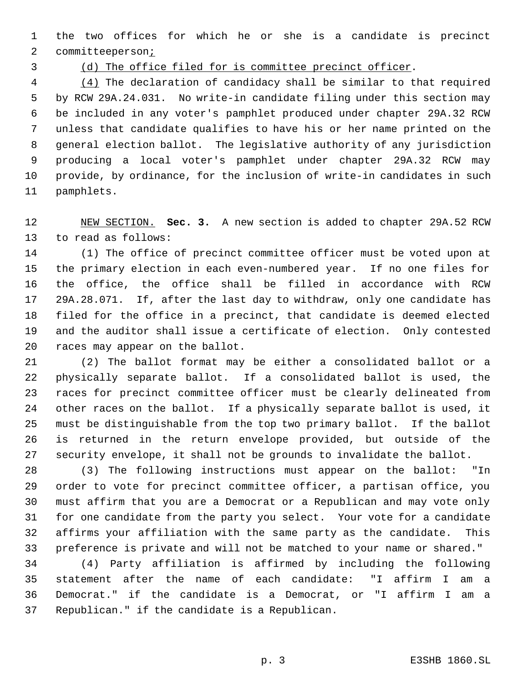the two offices for which he or she is a candidate is precinct 2 committeeperson<sub>i</sub>

(d) The office filed for is committee precinct officer.

4 (4) The declaration of candidacy shall be similar to that required by RCW 29A.24.031. No write-in candidate filing under this section may be included in any voter's pamphlet produced under chapter 29A.32 RCW unless that candidate qualifies to have his or her name printed on the general election ballot. The legislative authority of any jurisdiction producing a local voter's pamphlet under chapter 29A.32 RCW may provide, by ordinance, for the inclusion of write-in candidates in such pamphlets.

 NEW SECTION. **Sec. 3.** A new section is added to chapter 29A.52 RCW to read as follows:

 (1) The office of precinct committee officer must be voted upon at the primary election in each even-numbered year. If no one files for the office, the office shall be filled in accordance with RCW 29A.28.071. If, after the last day to withdraw, only one candidate has filed for the office in a precinct, that candidate is deemed elected and the auditor shall issue a certificate of election. Only contested races may appear on the ballot.

 (2) The ballot format may be either a consolidated ballot or a physically separate ballot. If a consolidated ballot is used, the races for precinct committee officer must be clearly delineated from other races on the ballot. If a physically separate ballot is used, it must be distinguishable from the top two primary ballot. If the ballot is returned in the return envelope provided, but outside of the security envelope, it shall not be grounds to invalidate the ballot.

 (3) The following instructions must appear on the ballot: "In order to vote for precinct committee officer, a partisan office, you must affirm that you are a Democrat or a Republican and may vote only for one candidate from the party you select. Your vote for a candidate affirms your affiliation with the same party as the candidate. This preference is private and will not be matched to your name or shared."

 (4) Party affiliation is affirmed by including the following statement after the name of each candidate: "I affirm I am a Democrat." if the candidate is a Democrat, or "I affirm I am a Republican." if the candidate is a Republican.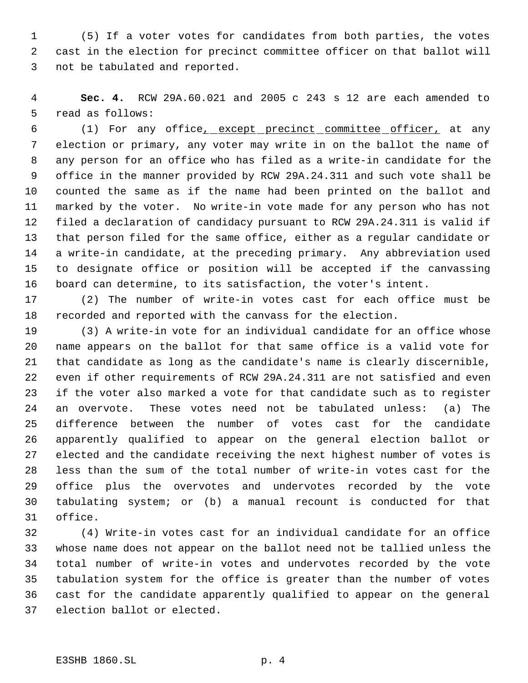(5) If a voter votes for candidates from both parties, the votes cast in the election for precinct committee officer on that ballot will not be tabulated and reported.

 **Sec. 4.** RCW 29A.60.021 and 2005 c 243 s 12 are each amended to read as follows:

 (1) For any office, except precinct committee officer, at any election or primary, any voter may write in on the ballot the name of any person for an office who has filed as a write-in candidate for the office in the manner provided by RCW 29A.24.311 and such vote shall be counted the same as if the name had been printed on the ballot and marked by the voter. No write-in vote made for any person who has not filed a declaration of candidacy pursuant to RCW 29A.24.311 is valid if that person filed for the same office, either as a regular candidate or a write-in candidate, at the preceding primary. Any abbreviation used to designate office or position will be accepted if the canvassing board can determine, to its satisfaction, the voter's intent.

 (2) The number of write-in votes cast for each office must be recorded and reported with the canvass for the election.

 (3) A write-in vote for an individual candidate for an office whose name appears on the ballot for that same office is a valid vote for that candidate as long as the candidate's name is clearly discernible, even if other requirements of RCW 29A.24.311 are not satisfied and even if the voter also marked a vote for that candidate such as to register an overvote. These votes need not be tabulated unless: (a) The difference between the number of votes cast for the candidate apparently qualified to appear on the general election ballot or elected and the candidate receiving the next highest number of votes is less than the sum of the total number of write-in votes cast for the office plus the overvotes and undervotes recorded by the vote tabulating system; or (b) a manual recount is conducted for that office.

 (4) Write-in votes cast for an individual candidate for an office whose name does not appear on the ballot need not be tallied unless the total number of write-in votes and undervotes recorded by the vote tabulation system for the office is greater than the number of votes cast for the candidate apparently qualified to appear on the general election ballot or elected.